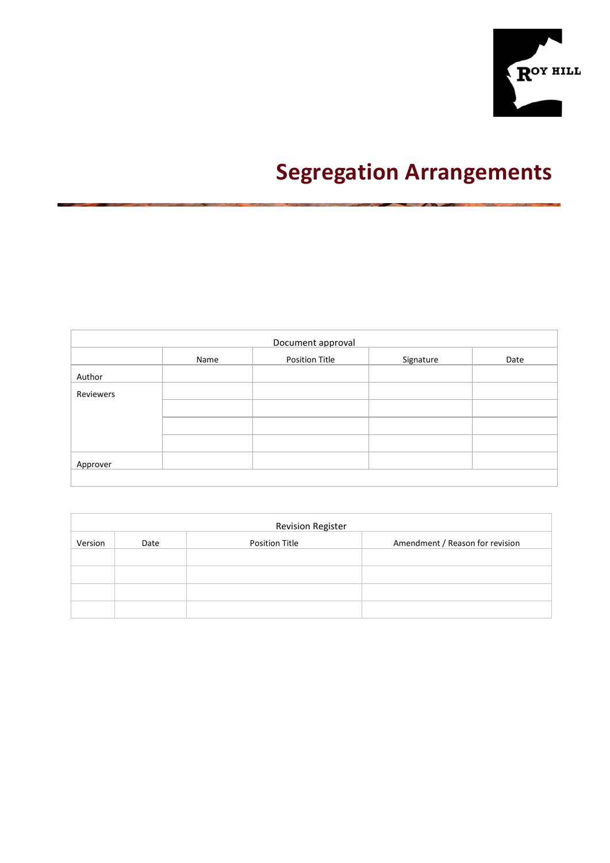

# **Segregation Arrangements**

|           |      | Document approval     |           |      |
|-----------|------|-----------------------|-----------|------|
|           | Name | <b>Position Title</b> | Signature | Date |
| Author    |      |                       |           |      |
| Reviewers |      |                       |           |      |
|           |      |                       |           |      |
|           |      |                       |           |      |
|           |      |                       |           |      |
| Approver  |      |                       |           |      |
|           |      |                       |           |      |

|         |      | <b>Revision Register</b> |                                 |
|---------|------|--------------------------|---------------------------------|
| Version | Date | Position Title           | Amendment / Reason for revision |
|         |      |                          |                                 |
|         |      |                          |                                 |
|         |      |                          |                                 |
|         |      |                          |                                 |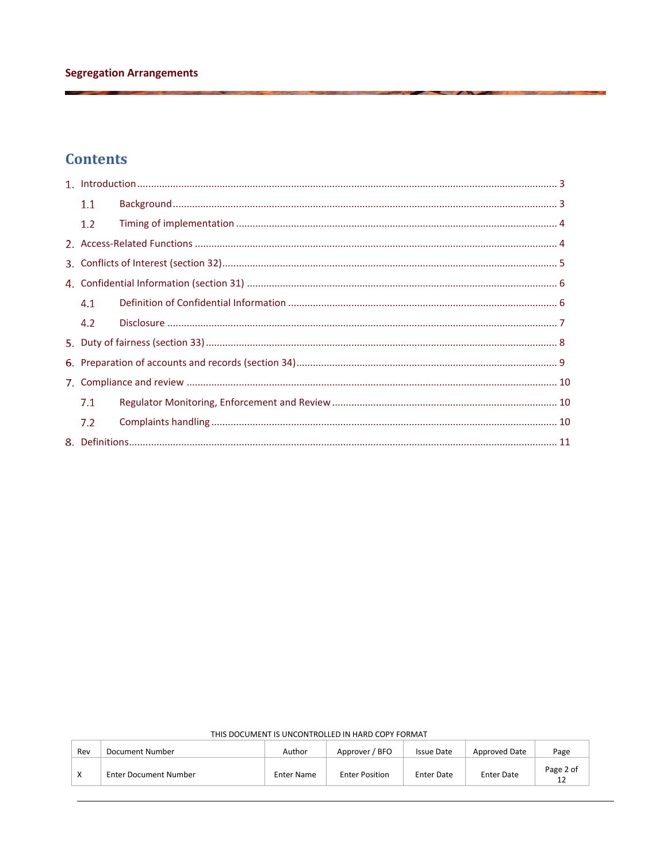# **Contents**

| 1,1 |  |
|-----|--|
| 1.2 |  |
|     |  |
|     |  |
|     |  |
| 4.1 |  |
| 4.2 |  |
|     |  |
|     |  |
|     |  |
| 7.1 |  |
| 7.2 |  |
|     |  |

| Rev | Document Number              | Author            | Approver / BFO        | <b>Issue Date</b> | Approved Date     | Page            |
|-----|------------------------------|-------------------|-----------------------|-------------------|-------------------|-----------------|
|     | <b>Enter Document Number</b> | <b>Enter Name</b> | <b>Enter Position</b> | <b>Enter Date</b> | <b>Enter Date</b> | Page 2 of<br>12 |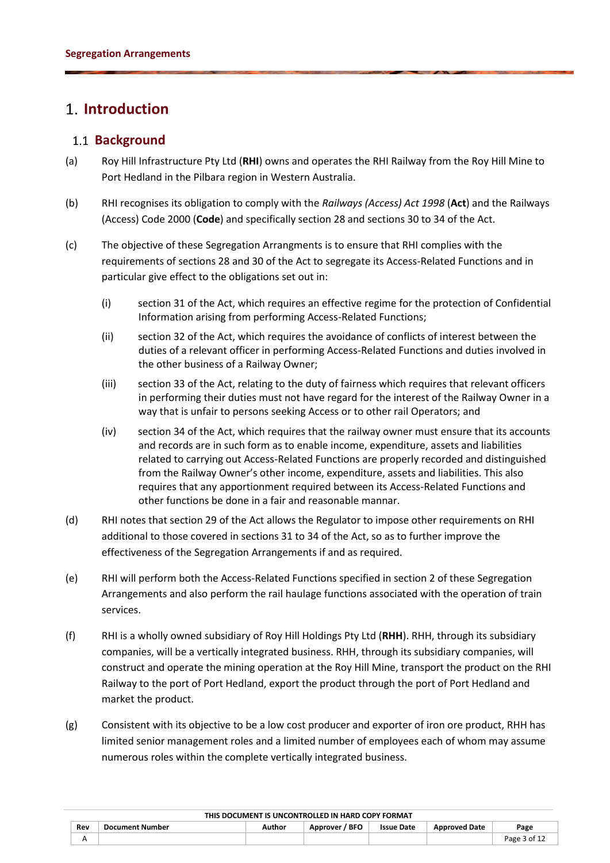## <span id="page-2-1"></span><span id="page-2-0"></span>**Introduction**

### 1.1 **Background**

- (a) Roy Hill Infrastructure Pty Ltd (**RHI**) owns and operates the RHI Railway from the Roy Hill Mine to Port Hedland in the Pilbara region in Western Australia.
- (b) RHI recognises its obligation to comply with the *Railways (Access) Act 1998* (**Act**) and the Railways (Access) Code 2000 (**Code**) and specifically section 28 and sections 30 to 34 of the Act.
- (c) The objective of these Segregation Arrangments is to ensure that RHI complies with the requirements of sections 28 and 30 of the Act to segregate its Access-Related Functions and in particular give effect to the obligations set out in:
	- (i) section 31 of the Act, which requires an effective regime for the protection of Confidential Information arising from performing Access-Related Functions;
	- (ii) section 32 of the Act, which requires the avoidance of conflicts of interest between the duties of a relevant officer in performing Access-Related Functions and duties involved in the other business of a Railway Owner;
	- (iii) section 33 of the Act, relating to the duty of fairness which requires that relevant officers in performing their duties must not have regard for the interest of the Railway Owner in a way that is unfair to persons seeking Access or to other rail Operators; and
	- (iv) section 34 of the Act, which requires that the railway owner must ensure that its accounts and records are in such form as to enable income, expenditure, assets and liabilities related to carrying out Access-Related Functions are properly recorded and distinguished from the Railway Owner's other income, expenditure, assets and liabilities. This also requires that any apportionment required between its Access-Related Functions and other functions be done in a fair and reasonable mannar.
- (d) RHI notes that section 29 of the Act allows the Regulator to impose other requirements on RHI additional to those covered in sections 31 to 34 of the Act, so as to further improve the effectiveness of the Segregation Arrangements if and as required.
- (e) RHI will perform both the Access-Related Functions specified in section 2 of these Segregation Arrangements and also perform the rail haulage functions associated with the operation of train services.
- (f) RHI is a wholly owned subsidiary of Roy Hill Holdings Pty Ltd (**RHH**). RHH, through its subsidiary companies, will be a vertically integrated business. RHH, through its subsidiary companies, will construct and operate the mining operation at the Roy Hill Mine, transport the product on the RHI Railway to the port of Port Hedland, export the product through the port of Port Hedland and market the product.
- (g) Consistent with its objective to be a low cost producer and exporter of iron ore product, RHH has limited senior management roles and a limited number of employees each of whom may assume numerous roles within the complete vertically integrated business.

**Rev Document Number Author Approver / BFO Issue Date Approved Date Page**   $\mathsf A$  Page 3 of 12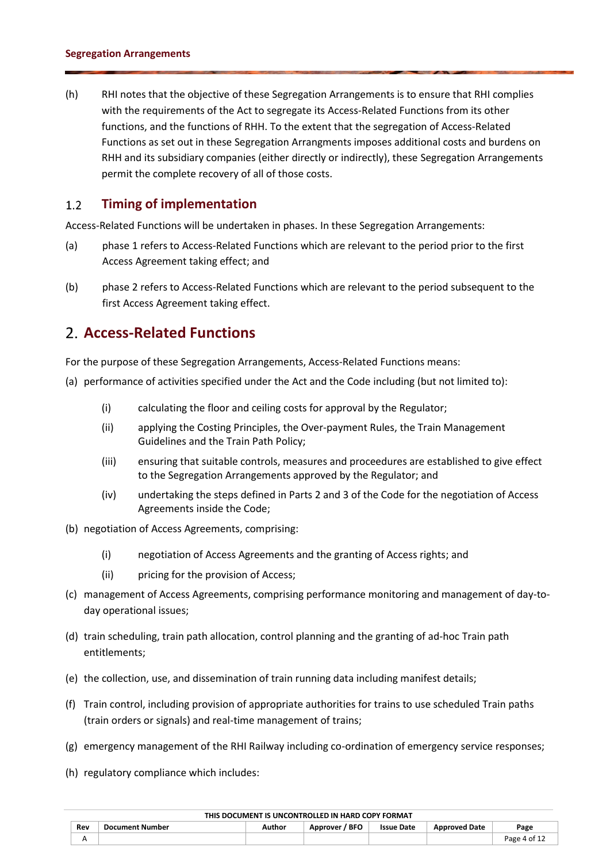<span id="page-3-0"></span>(h) RHI notes that the objective of these Segregation Arrangements is to ensure that RHI complies with the requirements of the Act to segregate its Access-Related Functions from its other functions, and the functions of RHH. To the extent that the segregation of Access-Related Functions as set out in these Segregation Arrangments imposes additional costs and burdens on RHH and its subsidiary companies (either directly or indirectly), these Segregation Arrangements permit the complete recovery of all of those costs.

#### $1.2$ **Timing of implementation**

Access-Related Functions will be undertaken in phases. In these Segregation Arrangements:

- (a) phase 1 refers to Access-Related Functions which are relevant to the period prior to the first Access Agreement taking effect; and
- <span id="page-3-1"></span>(b) phase 2 refers to Access-Related Functions which are relevant to the period subsequent to the first Access Agreement taking effect.

### **Access-Related Functions**

For the purpose of these Segregation Arrangements, Access-Related Functions means:

- (a) performance of activities specified under the Act and the Code including (but not limited to):
	- (i) calculating the floor and ceiling costs for approval by the Regulator;
	- (ii) applying the Costing Principles, the Over-payment Rules, the Train Management Guidelines and the Train Path Policy;
	- (iii) ensuring that suitable controls, measures and proceedures are established to give effect to the Segregation Arrangements approved by the Regulator; and
	- (iv) undertaking the steps defined in Parts 2 and 3 of the Code for the negotiation of Access Agreements inside the Code;
- (b) negotiation of Access Agreements, comprising:
	- (i) negotiation of Access Agreements and the granting of Access rights; and
	- (ii) pricing for the provision of Access;
- (c) management of Access Agreements, comprising performance monitoring and management of day-today operational issues;
- (d) train scheduling, train path allocation, control planning and the granting of ad-hoc Train path entitlements;
- (e) the collection, use, and dissemination of train running data including manifest details;
- (f) Train control, including provision of appropriate authorities for trains to use scheduled Train paths (train orders or signals) and real-time management of trains;
- (g) emergency management of the RHI Railway including co-ordination of emergency service responses;
- (h) regulatory compliance which includes:

|     |                 |        | <u>THIS DOCUMENT IS UNCUNTINGLED IN HAIND CUT IT UNIVERT</u> |                   |                      |              |
|-----|-----------------|--------|--------------------------------------------------------------|-------------------|----------------------|--------------|
| Rev | Document Number | Author | Approver / BFO                                               | <b>Issue Date</b> | <b>Approved Date</b> | Page         |
|     |                 |        |                                                              |                   |                      | Page 4 of 12 |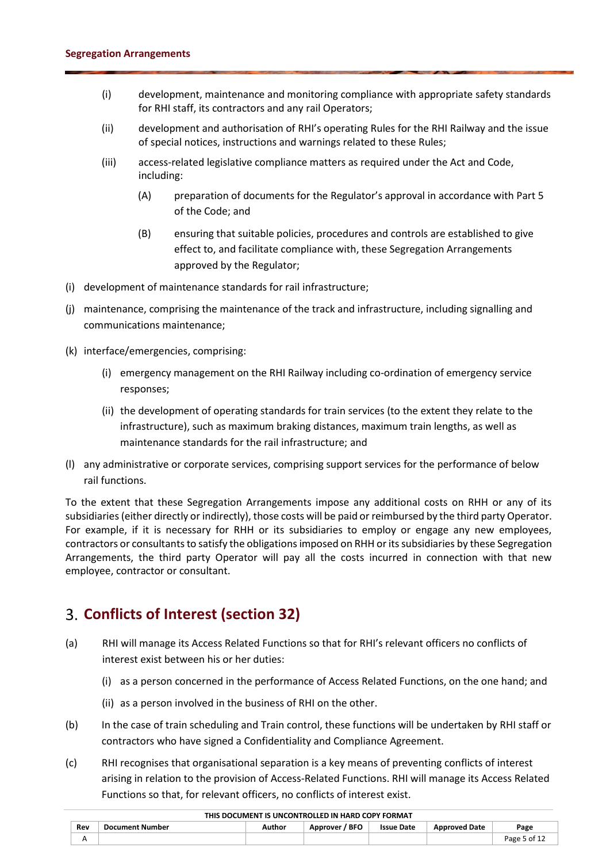- (i) development, maintenance and monitoring compliance with appropriate safety standards for RHI staff, its contractors and any rail Operators;
- (ii) development and authorisation of RHI's operating Rules for the RHI Railway and the issue of special notices, instructions and warnings related to these Rules;
- (iii) access-related legislative compliance matters as required under the Act and Code, including:
	- (A) preparation of documents for the Regulator's approval in accordance with Part 5 of the Code; and
	- (B) ensuring that suitable policies, procedures and controls are established to give effect to, and facilitate compliance with, these Segregation Arrangements approved by the Regulator;
- (i) development of maintenance standards for rail infrastructure;
- (j) maintenance, comprising the maintenance of the track and infrastructure, including signalling and communications maintenance;
- (k) interface/emergencies, comprising:
	- (i) emergency management on the RHI Railway including co-ordination of emergency service responses;
	- (ii) the development of operating standards for train services (to the extent they relate to the infrastructure), such as maximum braking distances, maximum train lengths, as well as maintenance standards for the rail infrastructure; and
- (l) any administrative or corporate services, comprising support services for the performance of below rail functions.

To the extent that these Segregation Arrangements impose any additional costs on RHH or any of its subsidiaries (either directly or indirectly), those costs will be paid or reimbursed by the third party Operator. For example, if it is necessary for RHH or its subsidiaries to employ or engage any new employees, contractors or consultants to satisfy the obligations imposed on RHH or its subsidiaries by these Segregation Arrangements, the third party Operator will pay all the costs incurred in connection with that new employee, contractor or consultant.

# <span id="page-4-0"></span>**Conflicts of Interest (section 32)**

- (a) RHI will manage its Access Related Functions so that for RHI's relevant officers no conflicts of interest exist between his or her duties:
	- (i) as a person concerned in the performance of Access Related Functions, on the one hand; and
	- (ii) as a person involved in the business of RHI on the other.
- (b) In the case of train scheduling and Train control, these functions will be undertaken by RHI staff or contractors who have signed a Confidentiality and Compliance Agreement.
- (c) RHI recognises that organisational separation is a key means of preventing conflicts of interest arising in relation to the provision of Access-Related Functions. RHI will manage its Access Related Functions so that, for relevant officers, no conflicts of interest exist.

|     |                        |        | ד הוווס שטע שההודיר ווי שנות הוסטוניוס פרוזונט שטע פוווי |                   |                      |              |
|-----|------------------------|--------|----------------------------------------------------------|-------------------|----------------------|--------------|
| Rev | <b>Document Number</b> | Author | Approver / BFO                                           | <b>Issue Date</b> | <b>Approved Date</b> | Page         |
|     |                        |        |                                                          |                   |                      | Page 5 of 12 |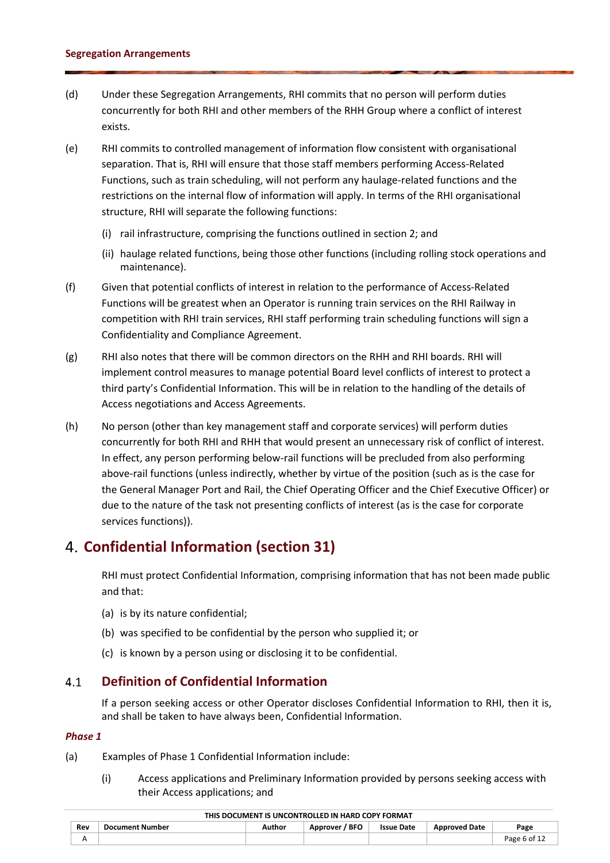- (d) Under these Segregation Arrangements, RHI commits that no person will perform duties concurrently for both RHI and other members of the RHH Group where a conflict of interest exists.
- (e) RHI commits to controlled management of information flow consistent with organisational separation. That is, RHI will ensure that those staff members performing Access-Related Functions, such as train scheduling, will not perform any haulage-related functions and the restrictions on the internal flow of information will apply. In terms of the RHI organisational structure, RHI will separate the following functions:
	- (i) rail infrastructure, comprising the functions outlined in section 2; and
	- (ii) haulage related functions, being those other functions (including rolling stock operations and maintenance).
- (f) Given that potential conflicts of interest in relation to the performance of Access-Related Functions will be greatest when an Operator is running train services on the RHI Railway in competition with RHI train services, RHI staff performing train scheduling functions will sign a Confidentiality and Compliance Agreement.
- (g) RHI also notes that there will be common directors on the RHH and RHI boards. RHI will implement control measures to manage potential Board level conflicts of interest to protect a third party's Confidential Information. This will be in relation to the handling of the details of Access negotiations and Access Agreements.
- (h) No person (other than key management staff and corporate services) will perform duties concurrently for both RHI and RHH that would present an unnecessary risk of conflict of interest. In effect, any person performing below-rail functions will be precluded from also performing above-rail functions (unless indirectly, whether by virtue of the position (such as is the case for the General Manager Port and Rail, the Chief Operating Officer and the Chief Executive Officer) or due to the nature of the task not presenting conflicts of interest (as is the case for corporate services functions)).

# <span id="page-5-0"></span>**Confidential Information (section 31)**

RHI must protect Confidential Information, comprising information that has not been made public and that:

- <span id="page-5-1"></span>(a) is by its nature confidential;
- (b) was specified to be confidential by the person who supplied it; or
- (c) is known by a person using or disclosing it to be confidential.

#### $4.1$ **Definition of Confidential Information**

If a person seeking access or other Operator discloses Confidential Information to RHI, then it is, and shall be taken to have always been, Confidential Information.

### *Phase 1*

- (a) Examples of Phase 1 Confidential Information include:
	- (i) Access applications and Preliminary Information provided by persons seeking access with their Access applications; and

| Rev<br>$\ddotsc$ | <b>Document Number</b> | Author | / BFO<br>Approver | <b>Issue Date</b> | <b>Approved Date</b> | Page         |
|------------------|------------------------|--------|-------------------|-------------------|----------------------|--------------|
|                  |                        |        |                   |                   |                      | Page 6 of 12 |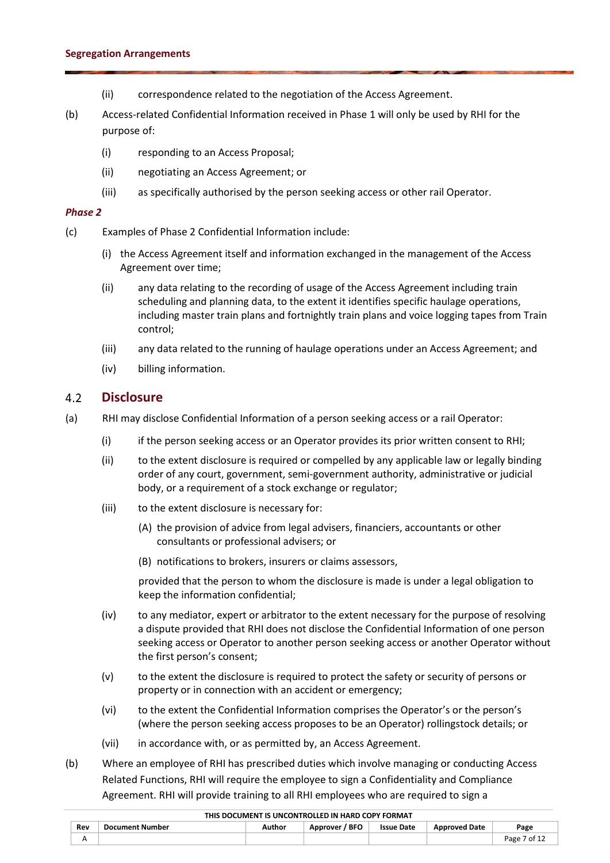- (ii) correspondence related to the negotiation of the Access Agreement.
- (b) Access-related Confidential Information received in Phase 1 will only be used by RHI for the purpose of:
	- (i) responding to an Access Proposal;
	- (ii) negotiating an Access Agreement; or
	- (iii) as specifically authorised by the person seeking access or other rail Operator.

### *Phase 2*

- (c) Examples of Phase 2 Confidential Information include:
	- (i) the Access Agreement itself and information exchanged in the management of the Access Agreement over time;
	- (ii) any data relating to the recording of usage of the Access Agreement including train scheduling and planning data, to the extent it identifies specific haulage operations, including master train plans and fortnightly train plans and voice logging tapes from Train control;
	- (iii) any data related to the running of haulage operations under an Access Agreement; and
	- (iv) billing information.

#### <span id="page-6-0"></span> $4.2$ **Disclosure**

- (a) RHI may disclose Confidential Information of a person seeking access or a rail Operator:
	- (i) if the person seeking access or an Operator provides its prior written consent to RHI;
	- (ii) to the extent disclosure is required or compelled by any applicable law or legally binding order of any court, government, semi-government authority, administrative or judicial body, or a requirement of a stock exchange or regulator;
	- (iii) to the extent disclosure is necessary for:
		- (A) the provision of advice from legal advisers, financiers, accountants or other consultants or professional advisers; or
		- (B) notifications to brokers, insurers or claims assessors,

provided that the person to whom the disclosure is made is under a legal obligation to keep the information confidential;

- (iv) to any mediator, expert or arbitrator to the extent necessary for the purpose of resolving a dispute provided that RHI does not disclose the Confidential Information of one person seeking access or Operator to another person seeking access or another Operator without the first person's consent;
- (v) to the extent the disclosure is required to protect the safety or security of persons or property or in connection with an accident or emergency;
- (vi) to the extent the Confidential Information comprises the Operator's or the person's (where the person seeking access proposes to be an Operator) rollingstock details; or
- (vii) in accordance with, or as permitted by, an Access Agreement.
- (b) Where an employee of RHI has prescribed duties which involve managing or conducting Access Related Functions, RHI will require the employee to sign a Confidentiality and Compliance Agreement. RHI will provide training to all RHI employees who are required to sign a

|     |                        |        | $\sim$ וואס שטער מין ווער שטענונוער שווייט פון וואס פון וואס פון וו |                   |                      |              |
|-----|------------------------|--------|---------------------------------------------------------------------|-------------------|----------------------|--------------|
| Rev | <b>Document Number</b> | Author | Approver / BFO                                                      | <b>Issue Date</b> | <b>Approved Date</b> | Page         |
|     |                        |        |                                                                     |                   |                      | Page 7 of 12 |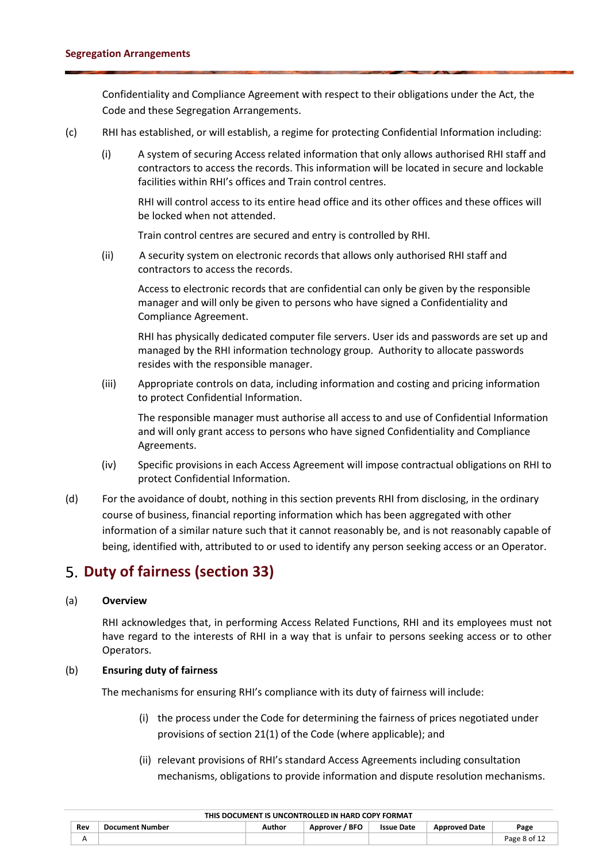Confidentiality and Compliance Agreement with respect to their obligations under the Act, the Code and these Segregation Arrangements.

- (c) RHI has established, or will establish, a regime for protecting Confidential Information including:
	- (i) A system of securing Access related information that only allows authorised RHI staff and contractors to access the records. This information will be located in secure and lockable facilities within RHI's offices and Train control centres.

RHI will control access to its entire head office and its other offices and these offices will be locked when not attended.

Train control centres are secured and entry is controlled by RHI.

(ii) A security system on electronic records that allows only authorised RHI staff and contractors to access the records.

Access to electronic records that are confidential can only be given by the responsible manager and will only be given to persons who have signed a Confidentiality and Compliance Agreement.

RHI has physically dedicated computer file servers. User ids and passwords are set up and managed by the RHI information technology group. Authority to allocate passwords resides with the responsible manager.

(iii) Appropriate controls on data, including information and costing and pricing information to protect Confidential Information.

The responsible manager must authorise all access to and use of Confidential Information and will only grant access to persons who have signed Confidentiality and Compliance Agreements.

- (iv) Specific provisions in each Access Agreement will impose contractual obligations on RHI to protect Confidential Information.
- <span id="page-7-0"></span>(d) For the avoidance of doubt, nothing in this section prevents RHI from disclosing, in the ordinary course of business, financial reporting information which has been aggregated with other information of a similar nature such that it cannot reasonably be, and is not reasonably capable of being, identified with, attributed to or used to identify any person seeking access or an Operator.

# **Duty of fairness (section 33)**

### (a) **Overview**

RHI acknowledges that, in performing Access Related Functions, RHI and its employees must not have regard to the interests of RHI in a way that is unfair to persons seeking access or to other Operators.

### (b) **Ensuring duty of fairness**

The mechanisms for ensuring RHI's compliance with its duty of fairness will include:

- (i) the process under the Code for determining the fairness of prices negotiated under provisions of section 21(1) of the Code (where applicable); and
- (ii) relevant provisions of RHI's standard Access Agreements including consultation mechanisms, obligations to provide information and dispute resolution mechanisms.

| THIS DOCUMENT IS UNCONTROLLED IN HARD COPY FORMAT |                 |        |                |                   |                      |              |
|---------------------------------------------------|-----------------|--------|----------------|-------------------|----------------------|--------------|
| Rev                                               | Document Number | Author | Approver / BFO | <b>Issue Date</b> | <b>Approved Date</b> | Page         |
|                                                   |                 |        |                |                   |                      | Page 8 of 12 |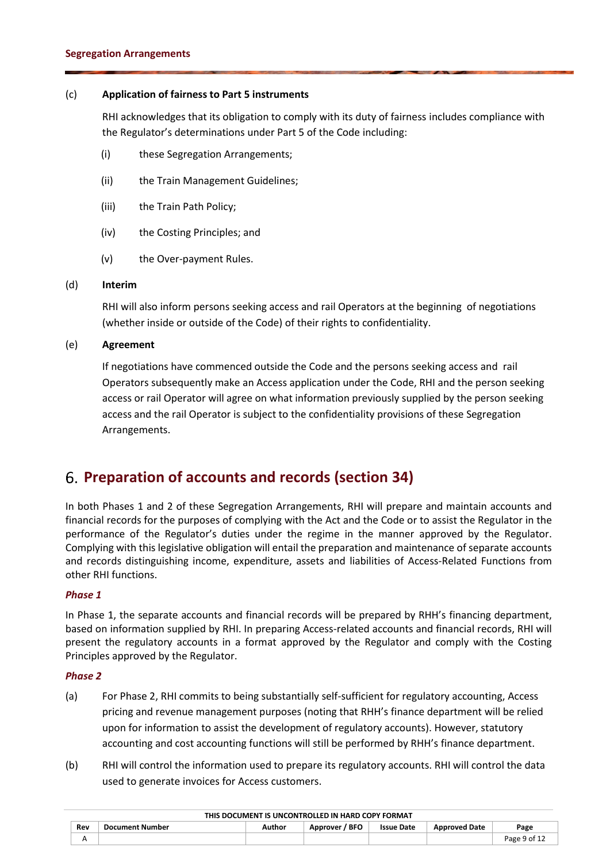### (c) **Application of fairness to Part 5 instruments**

RHI acknowledges that its obligation to comply with its duty of fairness includes compliance with the Regulator's determinations under Part 5 of the Code including:

- (i) these Segregation Arrangements;
- (ii) the Train Management Guidelines;
- (iii) the Train Path Policy;
- (iv) the Costing Principles; and
- (v) the Over-payment Rules.

### (d) **Interim**

RHI will also inform persons seeking access and rail Operators at the beginning of negotiations (whether inside or outside of the Code) of their rights to confidentiality.

### (e) **Agreement**

If negotiations have commenced outside the Code and the persons seeking access and rail Operators subsequently make an Access application under the Code, RHI and the person seeking access or rail Operator will agree on what information previously supplied by the person seeking access and the rail Operator is subject to the confidentiality provisions of these Segregation Arrangements.

### <span id="page-8-0"></span>**Preparation of accounts and records (section 34)**

In both Phases 1 and 2 of these Segregation Arrangements, RHI will prepare and maintain accounts and financial records for the purposes of complying with the Act and the Code or to assist the Regulator in the performance of the Regulator's duties under the regime in the manner approved by the Regulator. Complying with this legislative obligation will entail the preparation and maintenance of separate accounts and records distinguishing income, expenditure, assets and liabilities of Access-Related Functions from other RHI functions.

### *Phase 1*

In Phase 1, the separate accounts and financial records will be prepared by RHH's financing department, based on information supplied by RHI. In preparing Access-related accounts and financial records, RHI will present the regulatory accounts in a format approved by the Regulator and comply with the Costing Principles approved by the Regulator.

### *Phase 2*

- (a) For Phase 2, RHI commits to being substantially self-sufficient for regulatory accounting, Access pricing and revenue management purposes (noting that RHH's finance department will be relied upon for information to assist the development of regulatory accounts). However, statutory accounting and cost accounting functions will still be performed by RHH's finance department.
- (b) RHI will control the information used to prepare its regulatory accounts. RHI will control the data used to generate invoices for Access customers.

|     |                        |        | THIS DOCUMENT IS UNCONTRULLED IN HARD COPY FORMAT |                   |                      |              |
|-----|------------------------|--------|---------------------------------------------------|-------------------|----------------------|--------------|
| Rev | <b>Document Number</b> | Author | Approver / BFO                                    | <b>Issue Date</b> | <b>Approved Date</b> | Page         |
|     |                        |        |                                                   |                   |                      | Page 9 of 12 |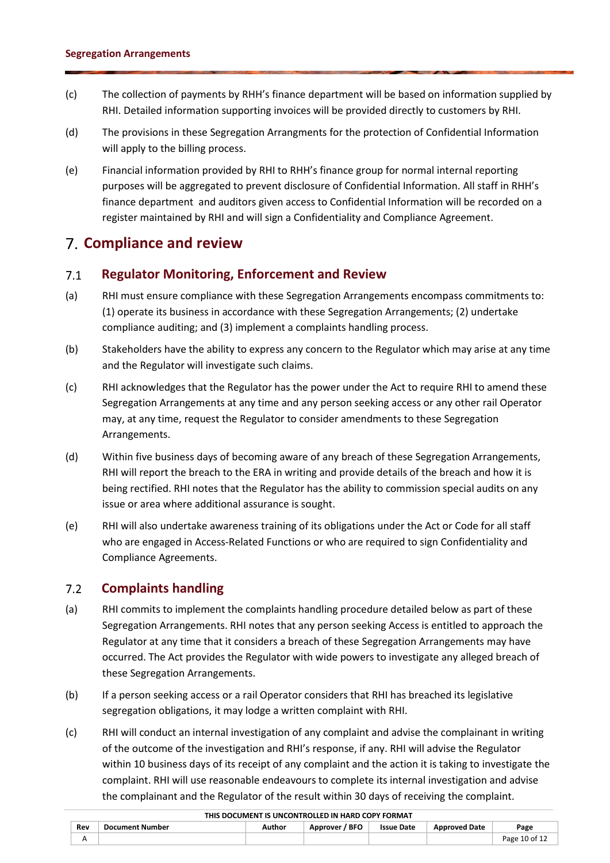- (c) The collection of payments by RHH's finance department will be based on information supplied by RHI. Detailed information supporting invoices will be provided directly to customers by RHI.
- (d) The provisions in these Segregation Arrangments for the protection of Confidential Information will apply to the billing process.
- <span id="page-9-0"></span>(e) Financial information provided by RHI to RHH's finance group for normal internal reporting purposes will be aggregated to prevent disclosure of Confidential Information. All staff in RHH's finance department and auditors given access to Confidential Information will be recorded on a register maintained by RHI and will sign a Confidentiality and Compliance Agreement.

### <span id="page-9-1"></span>**Compliance and review**

#### $7.1$ **Regulator Monitoring, Enforcement and Review**

- (a) RHI must ensure compliance with these Segregation Arrangements encompass commitments to: (1) operate its business in accordance with these Segregation Arrangements; (2) undertake compliance auditing; and (3) implement a complaints handling process.
- (b) Stakeholders have the ability to express any concern to the Regulator which may arise at any time and the Regulator will investigate such claims.
- (c) RHI acknowledges that the Regulator has the power under the Act to require RHI to amend these Segregation Arrangements at any time and any person seeking access or any other rail Operator may, at any time, request the Regulator to consider amendments to these Segregation Arrangements.
- (d) Within five business days of becoming aware of any breach of these Segregation Arrangements, RHI will report the breach to the ERA in writing and provide details of the breach and how it is being rectified. RHI notes that the Regulator has the ability to commission special audits on any issue or area where additional assurance is sought.
- <span id="page-9-2"></span>(e) RHI will also undertake awareness training of its obligations under the Act or Code for all staff who are engaged in Access-Related Functions or who are required to sign Confidentiality and Compliance Agreements.

#### $7.2$ **Complaints handling**

- (a) RHI commits to implement the complaints handling procedure detailed below as part of these Segregation Arrangements. RHI notes that any person seeking Access is entitled to approach the Regulator at any time that it considers a breach of these Segregation Arrangements may have occurred. The Act provides the Regulator with wide powers to investigate any alleged breach of these Segregation Arrangements.
- (b) If a person seeking access or a rail Operator considers that RHI has breached its legislative segregation obligations, it may lodge a written complaint with RHI.
- (c) RHI will conduct an internal investigation of any complaint and advise the complainant in writing of the outcome of the investigation and RHI's response, if any. RHI will advise the Regulator within 10 business days of its receipt of any complaint and the action it is taking to investigate the complaint. RHI will use reasonable endeavours to complete its internal investigation and advise the complainant and the Regulator of the result within 30 days of receiving the complaint.

|     |                        |        | THIS DOCUMENT IS UNCONTROLLED IN HARD COPY FORMAT |                   |                      |               |
|-----|------------------------|--------|---------------------------------------------------|-------------------|----------------------|---------------|
| Rev | <b>Document Number</b> | Author | Approver / BFO                                    | <b>Issue Date</b> | <b>Approved Date</b> | Page          |
|     |                        |        |                                                   |                   |                      | Page 10 of 12 |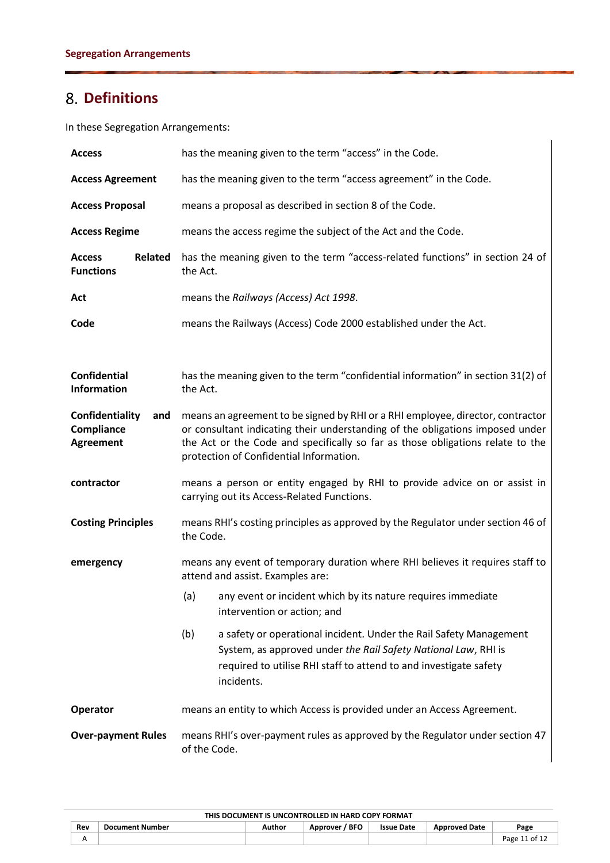# <span id="page-10-0"></span>**Definitions**

In these Segregation Arrangements:

| <b>Access</b>                                            | has the meaning given to the term "access" in the Code.                                                                                                                                                                                                                                      |  |  |  |  |
|----------------------------------------------------------|----------------------------------------------------------------------------------------------------------------------------------------------------------------------------------------------------------------------------------------------------------------------------------------------|--|--|--|--|
| <b>Access Agreement</b>                                  | has the meaning given to the term "access agreement" in the Code.                                                                                                                                                                                                                            |  |  |  |  |
| <b>Access Proposal</b>                                   | means a proposal as described in section 8 of the Code.                                                                                                                                                                                                                                      |  |  |  |  |
| <b>Access Regime</b>                                     | means the access regime the subject of the Act and the Code.                                                                                                                                                                                                                                 |  |  |  |  |
| <b>Related</b><br><b>Access</b><br><b>Functions</b>      | has the meaning given to the term "access-related functions" in section 24 of<br>the Act.                                                                                                                                                                                                    |  |  |  |  |
| Act                                                      | means the Railways (Access) Act 1998.                                                                                                                                                                                                                                                        |  |  |  |  |
| Code                                                     | means the Railways (Access) Code 2000 established under the Act.                                                                                                                                                                                                                             |  |  |  |  |
|                                                          |                                                                                                                                                                                                                                                                                              |  |  |  |  |
| <b>Confidential</b><br><b>Information</b>                | has the meaning given to the term "confidential information" in section 31(2) of<br>the Act.                                                                                                                                                                                                 |  |  |  |  |
| Confidentiality<br>and<br>Compliance<br><b>Agreement</b> | means an agreement to be signed by RHI or a RHI employee, director, contractor<br>or consultant indicating their understanding of the obligations imposed under<br>the Act or the Code and specifically so far as those obligations relate to the<br>protection of Confidential Information. |  |  |  |  |
| contractor                                               | means a person or entity engaged by RHI to provide advice on or assist in<br>carrying out its Access-Related Functions.                                                                                                                                                                      |  |  |  |  |
| <b>Costing Principles</b>                                | means RHI's costing principles as approved by the Regulator under section 46 of<br>the Code.                                                                                                                                                                                                 |  |  |  |  |
| emergency                                                | means any event of temporary duration where RHI believes it requires staff to<br>attend and assist. Examples are:                                                                                                                                                                            |  |  |  |  |
|                                                          | any event or incident which by its nature requires immediate<br>(a)<br>intervention or action; and                                                                                                                                                                                           |  |  |  |  |
|                                                          | (b)<br>a safety or operational incident. Under the Rail Safety Management<br>System, as approved under the Rail Safety National Law, RHI is<br>required to utilise RHI staff to attend to and investigate safety<br>incidents.                                                               |  |  |  |  |
| Operator                                                 | means an entity to which Access is provided under an Access Agreement.                                                                                                                                                                                                                       |  |  |  |  |
| <b>Over-payment Rules</b>                                | means RHI's over-payment rules as approved by the Regulator under section 47<br>of the Code.                                                                                                                                                                                                 |  |  |  |  |

| THIS DOCUMENT IS UNCONTROLLED IN HARD COPY FORMAT |                        |        |                     |                   |                      |               |  |  |  |  |
|---------------------------------------------------|------------------------|--------|---------------------|-------------------|----------------------|---------------|--|--|--|--|
| Rev                                               | <b>Document Number</b> | Author | ' BFO<br>Approver / | <b>Issue Date</b> | <b>Approved Date</b> | Page          |  |  |  |  |
|                                                   |                        |        |                     |                   |                      | Page 11 of 12 |  |  |  |  |